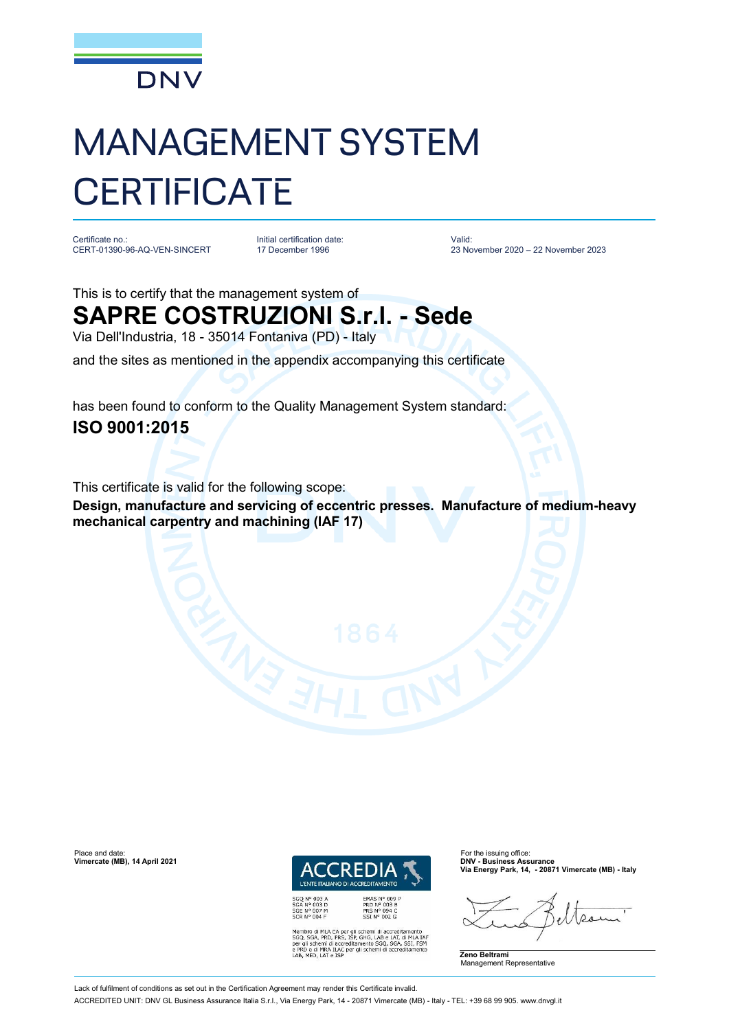

# MANAGEMENT SYSTEM **CERTIFICATE**

Certificate no.: CERT-01390-96-AQ-VEN-SINCERT

Initial certification date: 17 December 1996

Valid: 23 November 2020 – 22 November 2023

### This is to certify that the management system of **SAPRE COSTRUZIONI S.r.l. - Sede**

Via Dell'Industria, 18 - 35014 Fontaniva (PD) - Italy

and the sites as mentioned in the appendix accompanying this certificate

has been found to conform to the Quality Management System standard:

#### **ISO 9001:2015**

This certificate is valid for the following scope:

**Design, manufacture and servicing of eccentric presses. Manufacture of medium-heavy mechanical carpentry and machining (IAF 17)**



Membro di MLA EA per gli schemi di accreditamento<br>SGQ, SGA, PRD, PRS, ISP, GHG, LAB e LAT, di MLA IAF<br>per gli schemi di accreditamento SGQ, SGA, SSI, FSM<br>e PRD e di MRA ILAC per gli schemi di accreditamento<br>LAB, MED, LAT e

**Via Energy Park, 14, - 20871 Vimercate (MB) - Italy**

 $\Omega$ 

**Zeno Beltrami** Management Representative

**Vimercate (MB), 14 April 2021** 

ACCREDITED UNIT: DNV GL Business Assurance Italia S.r.l., Via Energy Park, 14 - 20871 Vimercate (MB) - Italy - TEL: +39 68 99 905. [www.dnvgl.it](http://www.dnvgl.it)

Lack of fulfilment of conditions as set out in the Certification Agreement may render this Certificate invalid